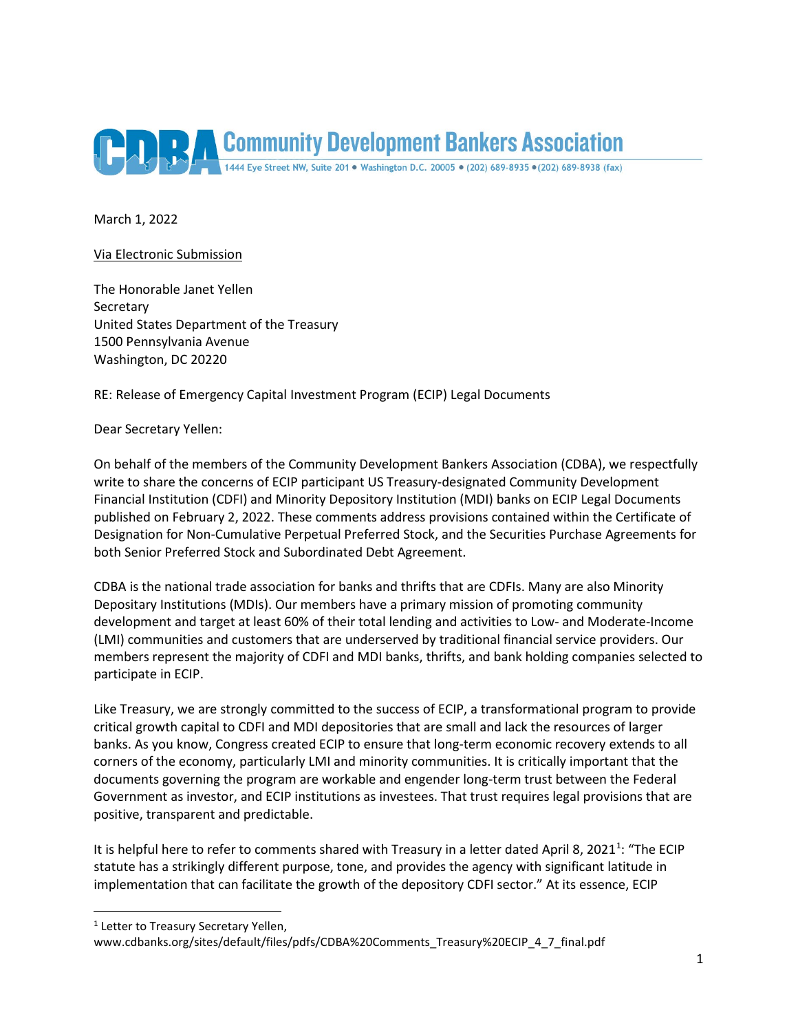

March 1, 2022

#### Via Electronic Submission

The Honorable Janet Yellen **Secretary** United States Department of the Treasury 1500 Pennsylvania Avenue Washington, DC 20220

RE: Release of Emergency Capital Investment Program (ECIP) Legal Documents

Dear Secretary Yellen:

On behalf of the members of the Community Development Bankers Association (CDBA), we respectfully write to share the concerns of ECIP participant US Treasury-designated Community Development Financial Institution (CDFI) and Minority Depository Institution (MDI) banks on ECIP Legal Documents published on February 2, 2022. These comments address provisions contained within the Certificate of Designation for Non-Cumulative Perpetual Preferred Stock, and the Securities Purchase Agreements for both Senior Preferred Stock and Subordinated Debt Agreement.

CDBA is the national trade association for banks and thrifts that are CDFIs. Many are also Minority Depositary Institutions (MDIs). Our members have a primary mission of promoting community development and target at least 60% of their total lending and activities to Low- and Moderate-Income (LMI) communities and customers that are underserved by traditional financial service providers. Our members represent the majority of CDFI and MDI banks, thrifts, and bank holding companies selected to participate in ECIP.

Like Treasury, we are strongly committed to the success of ECIP, a transformational program to provide critical growth capital to CDFI and MDI depositories that are small and lack the resources of larger banks. As you know, Congress created ECIP to ensure that long-term economic recovery extends to all corners of the economy, particularly LMI and minority communities. It is critically important that the documents governing the program are workable and engender long-term trust between the Federal Government as investor, and ECIP institutions as investees. That trust requires legal provisions that are positive, transparent and predictable.

It is helpful here to refer to comments shared with Treasury in a letter dated April 8, 202[1](#page-0-0)<sup>1</sup>: "The ECIP statute has a strikingly different purpose, tone, and provides the agency with significant latitude in implementation that can facilitate the growth of the depository CDFI sector." At its essence, ECIP

<span id="page-0-0"></span><sup>&</sup>lt;sup>1</sup> Letter to Treasury Secretary Yellen,

www.cdbanks.org/sites/default/files/pdfs/CDBA%20Comments\_Treasury%20ECIP\_4\_7\_final.pdf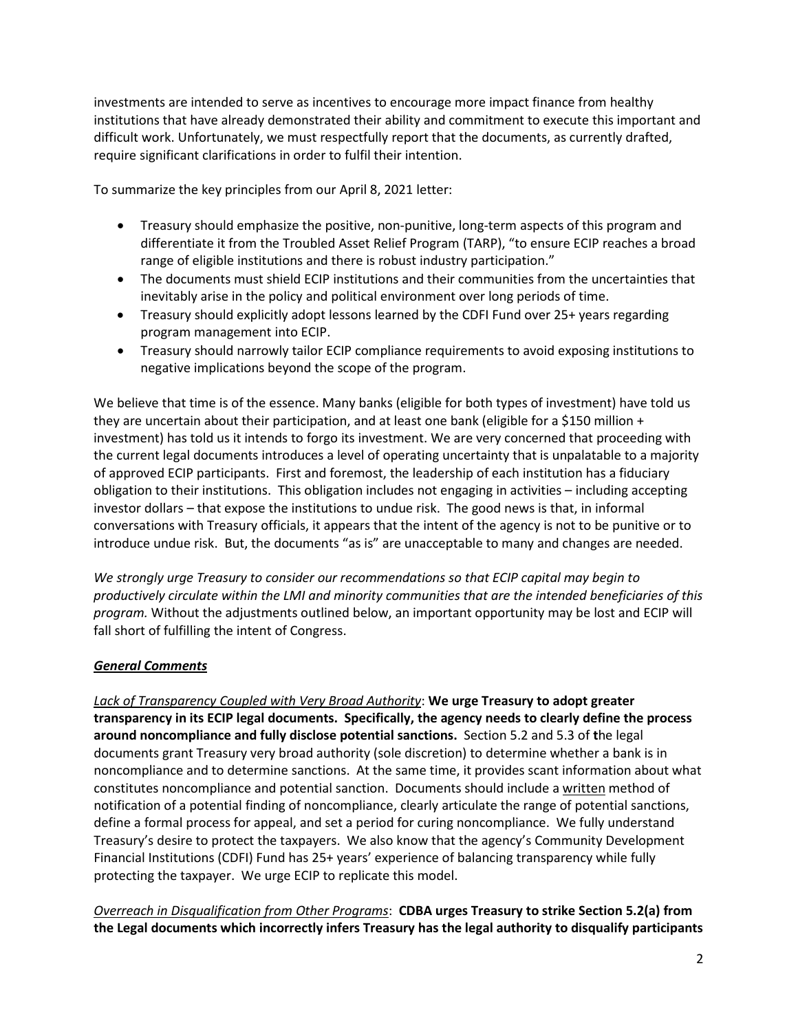investments are intended to serve as incentives to encourage more impact finance from healthy institutions that have already demonstrated their ability and commitment to execute this important and difficult work. Unfortunately, we must respectfully report that the documents, as currently drafted, require significant clarifications in order to fulfil their intention.

To summarize the key principles from our April 8, 2021 letter:

- Treasury should emphasize the positive, non-punitive, long-term aspects of this program and differentiate it from the Troubled Asset Relief Program (TARP), "to ensure ECIP reaches a broad range of eligible institutions and there is robust industry participation."
- The documents must shield ECIP institutions and their communities from the uncertainties that inevitably arise in the policy and political environment over long periods of time.
- Treasury should explicitly adopt lessons learned by the CDFI Fund over 25+ years regarding program management into ECIP.
- Treasury should narrowly tailor ECIP compliance requirements to avoid exposing institutions to negative implications beyond the scope of the program.

We believe that time is of the essence. Many banks (eligible for both types of investment) have told us they are uncertain about their participation, and at least one bank (eligible for a \$150 million + investment) has told us it intends to forgo its investment. We are very concerned that proceeding with the current legal documents introduces a level of operating uncertainty that is unpalatable to a majority of approved ECIP participants. First and foremost, the leadership of each institution has a fiduciary obligation to their institutions. This obligation includes not engaging in activities – including accepting investor dollars – that expose the institutions to undue risk. The good news is that, in informal conversations with Treasury officials, it appears that the intent of the agency is not to be punitive or to introduce undue risk. But, the documents "as is" are unacceptable to many and changes are needed.

*We strongly urge Treasury to consider our recommendations so that ECIP capital may begin to productively circulate within the LMI and minority communities that are the intended beneficiaries of this program.* Without the adjustments outlined below, an important opportunity may be lost and ECIP will fall short of fulfilling the intent of Congress.

# *General Comments*

*Lack of Transparency Coupled with Very Broad Authority*: **We urge Treasury to adopt greater transparency in its ECIP legal documents. Specifically, the agency needs to clearly define the process around noncompliance and fully disclose potential sanctions.** Section 5.2 and 5.3 of **t**he legal documents grant Treasury very broad authority (sole discretion) to determine whether a bank is in noncompliance and to determine sanctions. At the same time, it provides scant information about what constitutes noncompliance and potential sanction. Documents should include a written method of notification of a potential finding of noncompliance, clearly articulate the range of potential sanctions, define a formal process for appeal, and set a period for curing noncompliance. We fully understand Treasury's desire to protect the taxpayers. We also know that the agency's Community Development Financial Institutions (CDFI) Fund has 25+ years' experience of balancing transparency while fully protecting the taxpayer. We urge ECIP to replicate this model.

*Overreach in Disqualification from Other Programs*: **CDBA urges Treasury to strike Section 5.2(a) from the Legal documents which incorrectly infers Treasury has the legal authority to disqualify participants**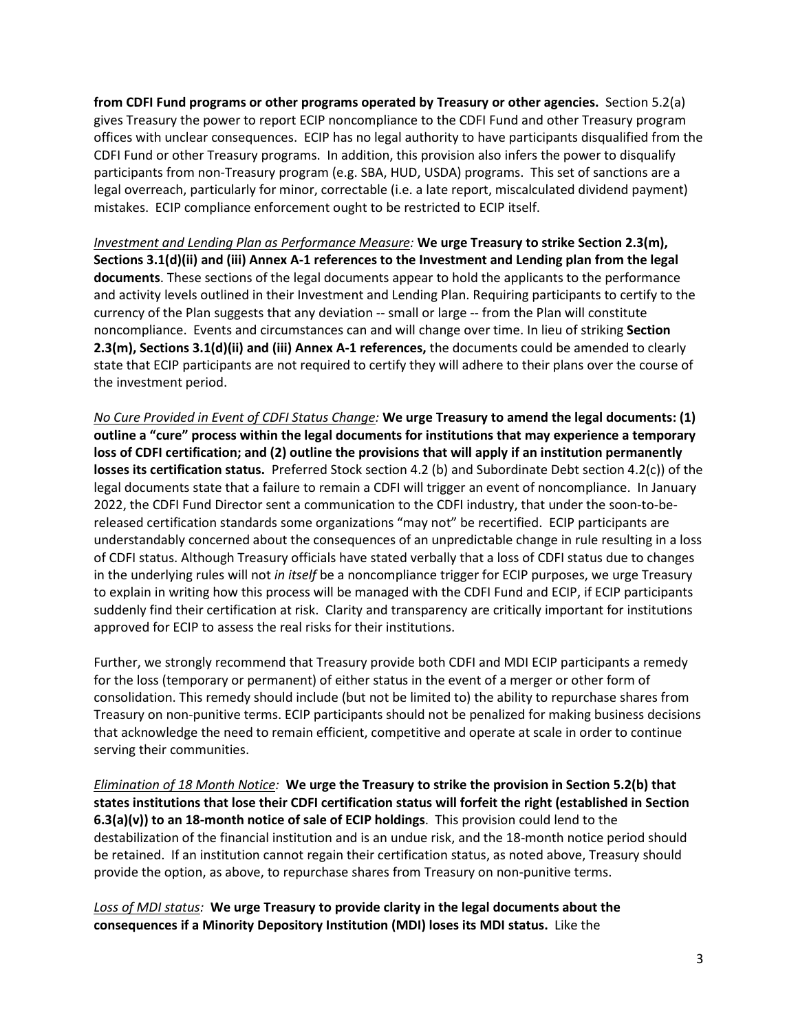**from CDFI Fund programs or other programs operated by Treasury or other agencies.** Section 5.2(a) gives Treasury the power to report ECIP noncompliance to the CDFI Fund and other Treasury program offices with unclear consequences. ECIP has no legal authority to have participants disqualified from the CDFI Fund or other Treasury programs. In addition, this provision also infers the power to disqualify participants from non-Treasury program (e.g. SBA, HUD, USDA) programs. This set of sanctions are a legal overreach, particularly for minor, correctable (i.e. a late report, miscalculated dividend payment) mistakes. ECIP compliance enforcement ought to be restricted to ECIP itself.

*Investment and Lending Plan as Performance Measure:* **We urge Treasury to strike Section 2.3(m), Sections 3.1(d)(ii) and (iii) Annex A-1 references to the Investment and Lending plan from the legal documents**. These sections of the legal documents appear to hold the applicants to the performance and activity levels outlined in their Investment and Lending Plan. Requiring participants to certify to the currency of the Plan suggests that any deviation -- small or large -- from the Plan will constitute noncompliance. Events and circumstances can and will change over time. In lieu of striking **Section 2.3(m), Sections 3.1(d)(ii) and (iii) Annex A-1 references,** the documents could be amended to clearly state that ECIP participants are not required to certify they will adhere to their plans over the course of the investment period.

*No Cure Provided in Event of CDFI Status Change:* **We urge Treasury to amend the legal documents: (1) outline a "cure" process within the legal documents for institutions that may experience a temporary loss of CDFI certification; and (2) outline the provisions that will apply if an institution permanently losses its certification status.**Preferred Stock section 4.2 (b) and Subordinate Debt section 4.2(c)) of the legal documents state that a failure to remain a CDFI will trigger an event of noncompliance. In January 2022, the CDFI Fund Director sent a communication to the CDFI industry, that under the soon-to-bereleased certification standards some organizations "may not" be recertified. ECIP participants are understandably concerned about the consequences of an unpredictable change in rule resulting in a loss of CDFI status. Although Treasury officials have stated verbally that a loss of CDFI status due to changes in the underlying rules will not *in itself* be a noncompliance trigger for ECIP purposes, we urge Treasury to explain in writing how this process will be managed with the CDFI Fund and ECIP, if ECIP participants suddenly find their certification at risk. Clarity and transparency are critically important for institutions approved for ECIP to assess the real risks for their institutions.

Further, we strongly recommend that Treasury provide both CDFI and MDI ECIP participants a remedy for the loss (temporary or permanent) of either status in the event of a merger or other form of consolidation. This remedy should include (but not be limited to) the ability to repurchase shares from Treasury on non-punitive terms. ECIP participants should not be penalized for making business decisions that acknowledge the need to remain efficient, competitive and operate at scale in order to continue serving their communities.

*Elimination of 18 Month Notice:* **We urge the Treasury to strike the provision in Section 5.2(b) that states institutions that lose their CDFI certification status will forfeit the right (established in Section 6.3(a)(v)) to an 18-month notice of sale of ECIP holdings**. This provision could lend to the destabilization of the financial institution and is an undue risk, and the 18-month notice period should be retained. If an institution cannot regain their certification status, as noted above, Treasury should provide the option, as above, to repurchase shares from Treasury on non-punitive terms.

*Loss of MDI status:* **We urge Treasury to provide clarity in the legal documents about the consequences if a Minority Depository Institution (MDI) loses its MDI status.** Like the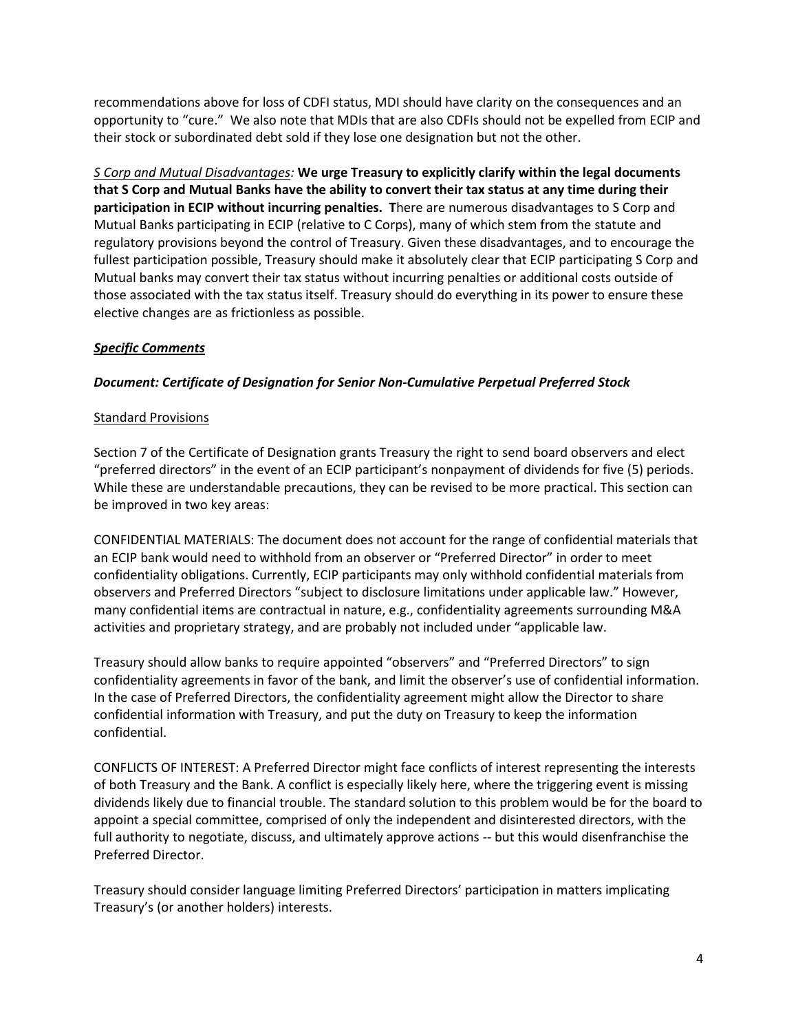recommendations above for loss of CDFI status, MDI should have clarity on the consequences and an opportunity to "cure." We also note that MDIs that are also CDFIs should not be expelled from ECIP and their stock or subordinated debt sold if they lose one designation but not the other.

*S Corp and Mutual Disadvantages:* **We urge Treasury to explicitly clarify within the legal documents that S Corp and Mutual Banks have the ability to convert their tax status at any time during their participation in ECIP without incurring penalties. T**here are numerous disadvantages to S Corp and Mutual Banks participating in ECIP (relative to C Corps), many of which stem from the statute and regulatory provisions beyond the control of Treasury. Given these disadvantages, and to encourage the fullest participation possible, Treasury should make it absolutely clear that ECIP participating S Corp and Mutual banks may convert their tax status without incurring penalties or additional costs outside of those associated with the tax status itself. Treasury should do everything in its power to ensure these elective changes are as frictionless as possible.

# *Specific Comments*

## *Document: Certificate of Designation for Senior Non-Cumulative Perpetual Preferred Stock*

#### Standard Provisions

Section 7 of the Certificate of Designation grants Treasury the right to send board observers and elect "preferred directors" in the event of an ECIP participant's nonpayment of dividends for five (5) periods. While these are understandable precautions, they can be revised to be more practical. This section can be improved in two key areas:

CONFIDENTIAL MATERIALS: The document does not account for the range of confidential materials that an ECIP bank would need to withhold from an observer or "Preferred Director" in order to meet confidentiality obligations. Currently, ECIP participants may only withhold confidential materials from observers and Preferred Directors "subject to disclosure limitations under applicable law." However, many confidential items are contractual in nature, e.g., confidentiality agreements surrounding M&A activities and proprietary strategy, and are probably not included under "applicable law.

Treasury should allow banks to require appointed "observers" and "Preferred Directors" to sign confidentiality agreements in favor of the bank, and limit the observer's use of confidential information. In the case of Preferred Directors, the confidentiality agreement might allow the Director to share confidential information with Treasury, and put the duty on Treasury to keep the information confidential.

CONFLICTS OF INTEREST: A Preferred Director might face conflicts of interest representing the interests of both Treasury and the Bank. A conflict is especially likely here, where the triggering event is missing dividends likely due to financial trouble. The standard solution to this problem would be for the board to appoint a special committee, comprised of only the independent and disinterested directors, with the full authority to negotiate, discuss, and ultimately approve actions -- but this would disenfranchise the Preferred Director.

Treasury should consider language limiting Preferred Directors' participation in matters implicating Treasury's (or another holders) interests.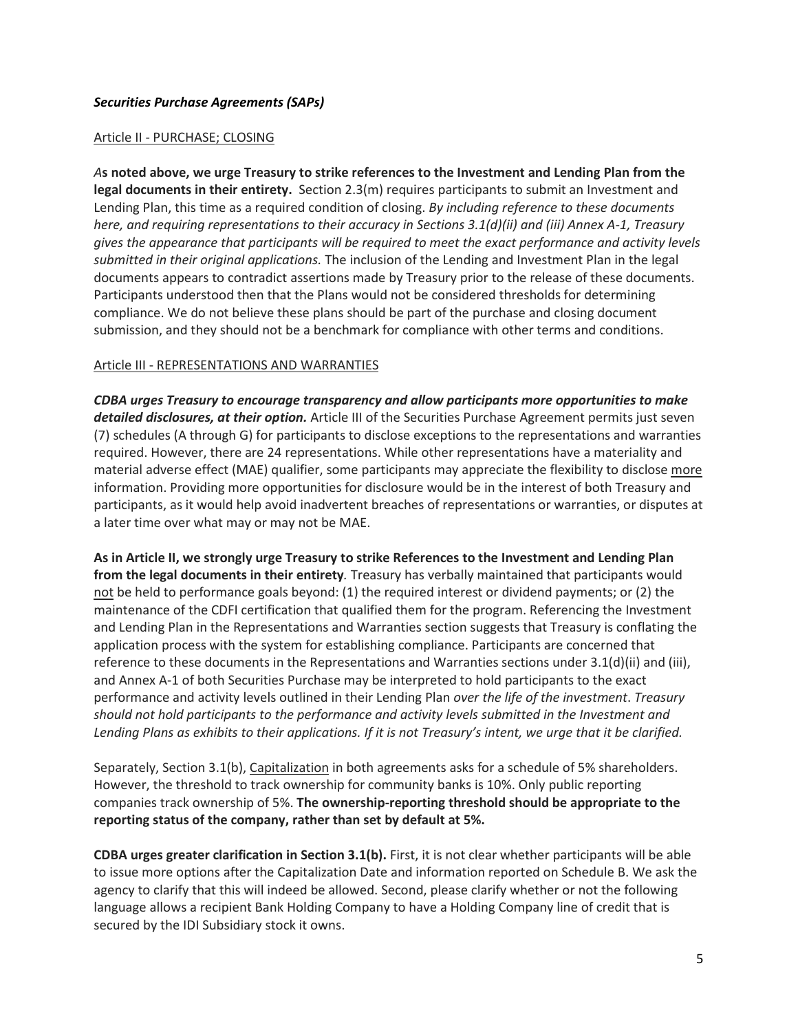## *Securities Purchase Agreements (SAPs)*

#### Article II - PURCHASE; CLOSING

*A***s noted above, we urge Treasury to strike references to the Investment and Lending Plan from the legal documents in their entirety.** Section 2.3(m) requires participants to submit an Investment and Lending Plan, this time as a required condition of closing. *By including reference to these documents here, and requiring representations to their accuracy in Sections 3.1(d)(ii) and (iii) Annex A-1, Treasury gives the appearance that participants will be required to meet the exact performance and activity levels submitted in their original applications.* The inclusion of the Lending and Investment Plan in the legal documents appears to contradict assertions made by Treasury prior to the release of these documents. Participants understood then that the Plans would not be considered thresholds for determining compliance. We do not believe these plans should be part of the purchase and closing document submission, and they should not be a benchmark for compliance with other terms and conditions.

#### Article III - REPRESENTATIONS AND WARRANTIES

*CDBA urges Treasury to encourage transparency and allow participants more opportunities to make detailed disclosures, at their option.* Article III of the Securities Purchase Agreement permits just seven (7) schedules (A through G) for participants to disclose exceptions to the representations and warranties required. However, there are 24 representations. While other representations have a materiality and material adverse effect (MAE) qualifier, some participants may appreciate the flexibility to disclose more information. Providing more opportunities for disclosure would be in the interest of both Treasury and participants, as it would help avoid inadvertent breaches of representations or warranties, or disputes at a later time over what may or may not be MAE.

**As in Article II, we strongly urge Treasury to strike References to the Investment and Lending Plan from the legal documents in their entirety***.* Treasury has verbally maintained that participants would not be held to performance goals beyond: (1) the required interest or dividend payments; or (2) the maintenance of the CDFI certification that qualified them for the program. Referencing the Investment and Lending Plan in the Representations and Warranties section suggests that Treasury is conflating the application process with the system for establishing compliance. Participants are concerned that reference to these documents in the Representations and Warranties sections under 3.1(d)(ii) and (iii), and Annex A-1 of both Securities Purchase may be interpreted to hold participants to the exact performance and activity levels outlined in their Lending Plan *over the life of the investment*. *Treasury should not hold participants to the performance and activity levels submitted in the Investment and Lending Plans as exhibits to their applications. If it is not Treasury's intent, we urge that it be clarified.*

Separately, Section 3.1(b), Capitalization in both agreements asks for a schedule of 5% shareholders. However, the threshold to track ownership for community banks is 10%. Only public reporting companies track ownership of 5%. **The ownership-reporting threshold should be appropriate to the reporting status of the company, rather than set by default at 5%.**

**CDBA urges greater clarification in Section 3.1(b).** First, it is not clear whether participants will be able to issue more options after the Capitalization Date and information reported on Schedule B. We ask the agency to clarify that this will indeed be allowed. Second, please clarify whether or not the following language allows a recipient Bank Holding Company to have a Holding Company line of credit that is secured by the IDI Subsidiary stock it owns.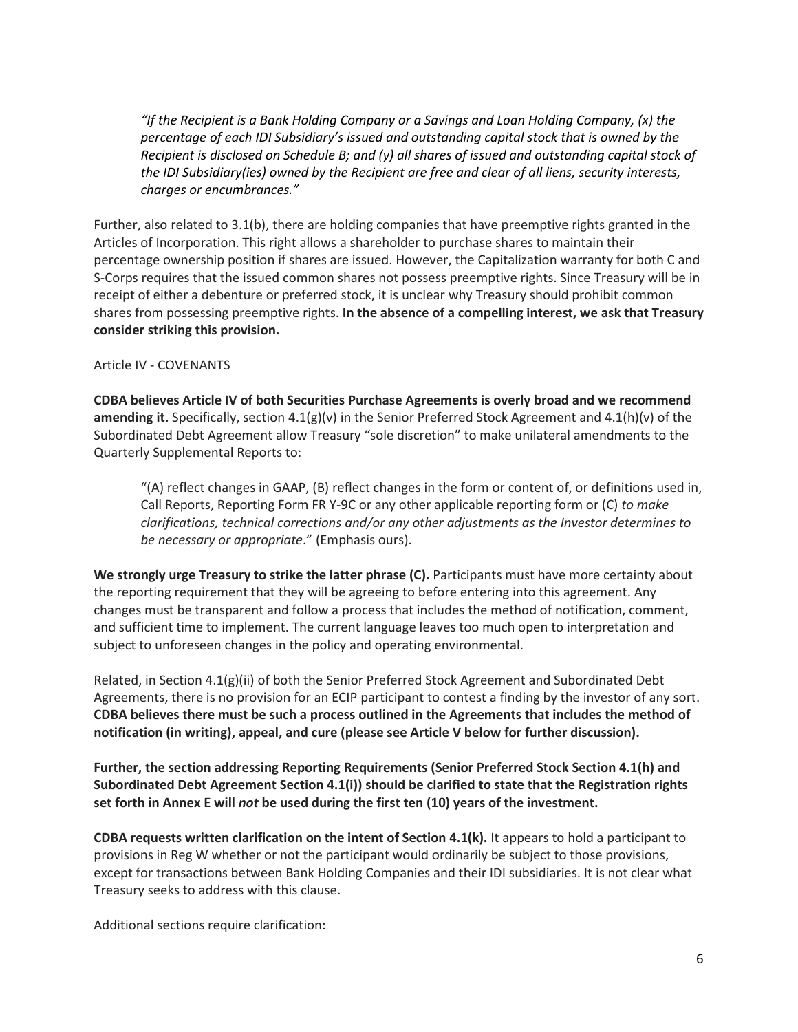*"If the Recipient is a Bank Holding Company or a Savings and Loan Holding Company, (x) the percentage of each IDI Subsidiary's issued and outstanding capital stock that is owned by the Recipient is disclosed on Schedule B; and (y) all shares of issued and outstanding capital stock of the IDI Subsidiary(ies) owned by the Recipient are free and clear of all liens, security interests, charges or encumbrances."*

Further, also related to 3.1(b), there are holding companies that have preemptive rights granted in the Articles of Incorporation. This right allows a shareholder to purchase shares to maintain their percentage ownership position if shares are issued. However, the Capitalization warranty for both C and S-Corps requires that the issued common shares not possess preemptive rights. Since Treasury will be in receipt of either a debenture or preferred stock, it is unclear why Treasury should prohibit common shares from possessing preemptive rights. **In the absence of a compelling interest, we ask that Treasury consider striking this provision.**

## Article IV - COVENANTS

**CDBA believes Article IV of both Securities Purchase Agreements is overly broad and we recommend amending it.** Specifically, section 4.1(g)(v) in the Senior Preferred Stock Agreement and 4.1(h)(v) of the Subordinated Debt Agreement allow Treasury "sole discretion" to make unilateral amendments to the Quarterly Supplemental Reports to:

"(A) reflect changes in GAAP, (B) reflect changes in the form or content of, or definitions used in, Call Reports, Reporting Form FR Y-9C or any other applicable reporting form or (C) *to make clarifications, technical corrections and/or any other adjustments as the Investor determines to be necessary or appropriate*." (Emphasis ours).

**We strongly urge Treasury to strike the latter phrase (C).** Participants must have more certainty about the reporting requirement that they will be agreeing to before entering into this agreement. Any changes must be transparent and follow a process that includes the method of notification, comment, and sufficient time to implement. The current language leaves too much open to interpretation and subject to unforeseen changes in the policy and operating environmental.

Related, in Section 4.1(g)(ii) of both the Senior Preferred Stock Agreement and Subordinated Debt Agreements, there is no provision for an ECIP participant to contest a finding by the investor of any sort. **CDBA believes there must be such a process outlined in the Agreements that includes the method of notification (in writing), appeal, and cure (please see Article V below for further discussion).**

**Further, the section addressing Reporting Requirements (Senior Preferred Stock Section 4.1(h) and Subordinated Debt Agreement Section 4.1(i)) should be clarified to state that the Registration rights set forth in Annex E will** *not* **be used during the first ten (10) years of the investment.**

**CDBA requests written clarification on the intent of Section 4.1(k).** It appears to hold a participant to provisions in Reg W whether or not the participant would ordinarily be subject to those provisions, except for transactions between Bank Holding Companies and their IDI subsidiaries. It is not clear what Treasury seeks to address with this clause.

Additional sections require clarification: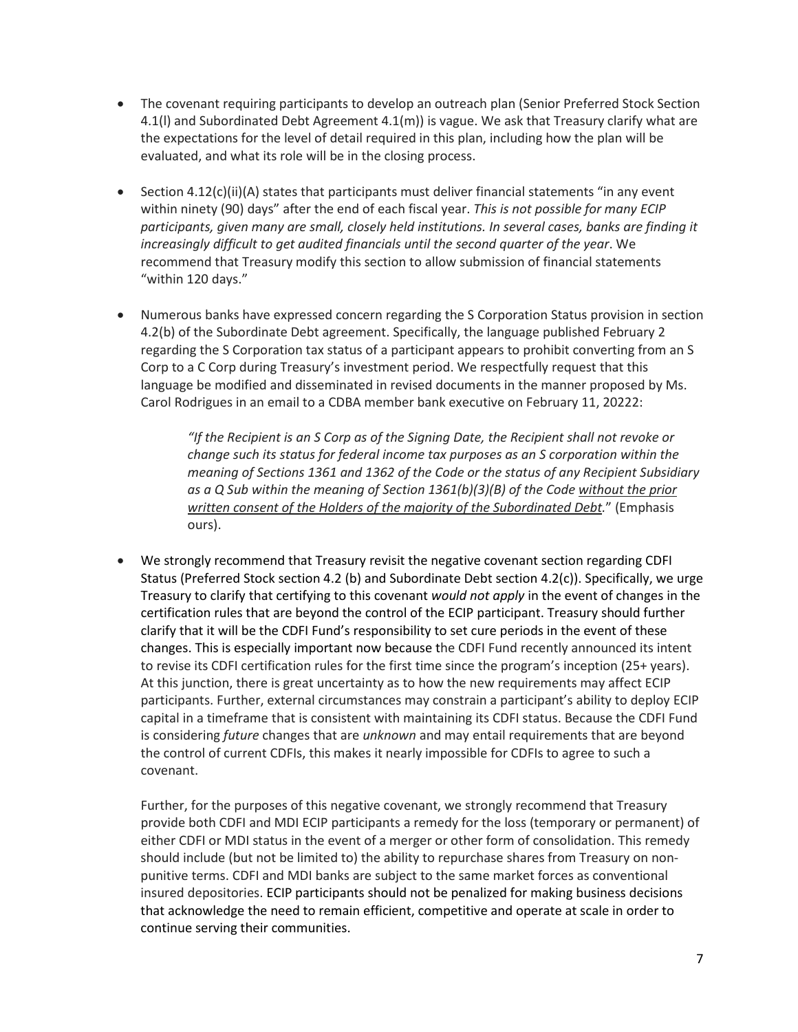- The covenant requiring participants to develop an outreach plan (Senior Preferred Stock Section 4.1(l) and Subordinated Debt Agreement 4.1(m)) is vague. We ask that Treasury clarify what are the expectations for the level of detail required in this plan, including how the plan will be evaluated, and what its role will be in the closing process.
- Section 4.12(c)(ii)(A) states that participants must deliver financial statements "in any event within ninety (90) days" after the end of each fiscal year. *This is not possible for many ECIP participants, given many are small, closely held institutions. In several cases, banks are finding it increasingly difficult to get audited financials until the second quarter of the year*. We recommend that Treasury modify this section to allow submission of financial statements "within 120 days."
- Numerous banks have expressed concern regarding the S Corporation Status provision in section 4.2(b) of the Subordinate Debt agreement. Specifically, the language published February 2 regarding the S Corporation tax status of a participant appears to prohibit converting from an S Corp to a C Corp during Treasury's investment period. We respectfully request that this language be modified and disseminated in revised documents in the manner proposed by Ms. Carol Rodrigues in an email to a CDBA member bank executive on February 11, 20222:

*"If the Recipient is an S Corp as of the Signing Date, the Recipient shall not revoke or change such its status for federal income tax purposes as an S corporation within the meaning of Sections 1361 and 1362 of the Code or the status of any Recipient Subsidiary as a Q Sub within the meaning of Section 1361(b)(3)(B) of the Code without the prior written consent of the Holders of the majority of the Subordinated Debt.*" (Emphasis ours).

• We strongly recommend that Treasury revisit the negative covenant section regarding CDFI Status (Preferred Stock section 4.2 (b) and Subordinate Debt section 4.2(c)). Specifically, we urge Treasury to clarify that certifying to this covenant *would not apply* in the event of changes in the certification rules that are beyond the control of the ECIP participant. Treasury should further clarify that it will be the CDFI Fund's responsibility to set cure periods in the event of these changes. This is especially important now because the CDFI Fund recently announced its intent to revise its CDFI certification rules for the first time since the program's inception (25+ years). At this junction, there is great uncertainty as to how the new requirements may affect ECIP participants. Further, external circumstances may constrain a participant's ability to deploy ECIP capital in a timeframe that is consistent with maintaining its CDFI status. Because the CDFI Fund is considering *future* changes that are *unknown* and may entail requirements that are beyond the control of current CDFIs, this makes it nearly impossible for CDFIs to agree to such a covenant.

Further, for the purposes of this negative covenant, we strongly recommend that Treasury provide both CDFI and MDI ECIP participants a remedy for the loss (temporary or permanent) of either CDFI or MDI status in the event of a merger or other form of consolidation. This remedy should include (but not be limited to) the ability to repurchase shares from Treasury on nonpunitive terms. CDFI and MDI banks are subject to the same market forces as conventional insured depositories. ECIP participants should not be penalized for making business decisions that acknowledge the need to remain efficient, competitive and operate at scale in order to continue serving their communities.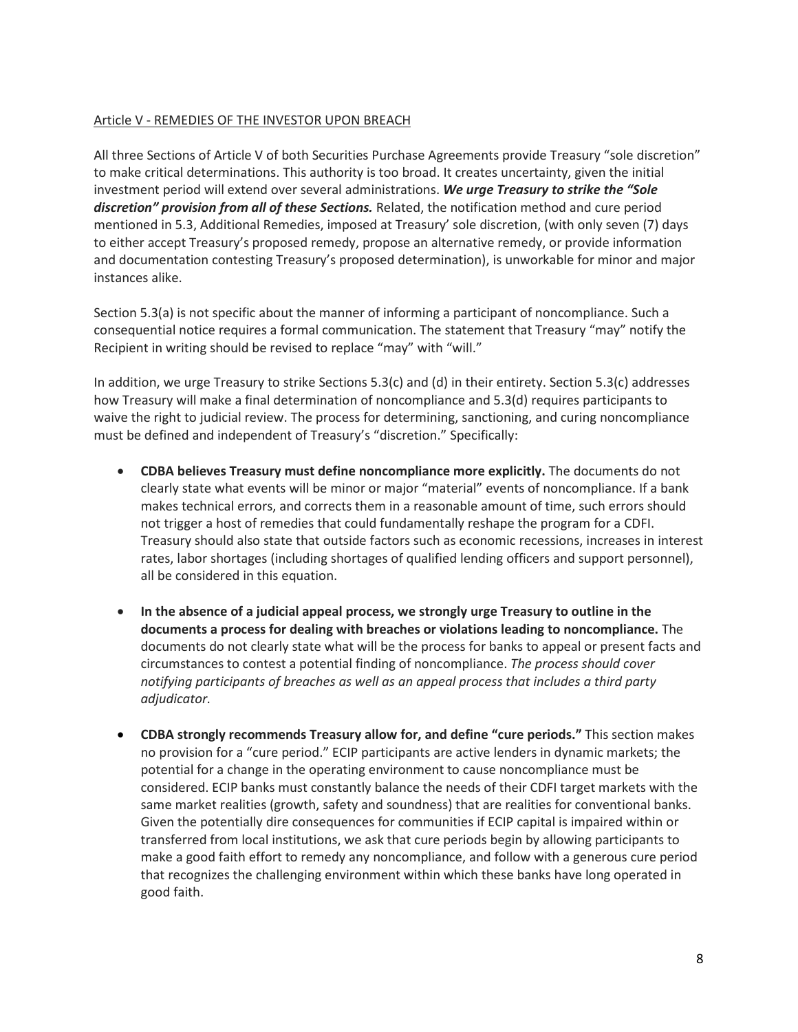### Article V - REMEDIES OF THE INVESTOR UPON BREACH

All three Sections of Article V of both Securities Purchase Agreements provide Treasury "sole discretion" to make critical determinations. This authority is too broad. It creates uncertainty, given the initial investment period will extend over several administrations. *We urge Treasury to strike the "Sole discretion" provision from all of these Sections.* Related, the notification method and cure period mentioned in 5.3, Additional Remedies, imposed at Treasury' sole discretion, (with only seven (7) days to either accept Treasury's proposed remedy, propose an alternative remedy, or provide information and documentation contesting Treasury's proposed determination), is unworkable for minor and major instances alike.

Section 5.3(a) is not specific about the manner of informing a participant of noncompliance. Such a consequential notice requires a formal communication. The statement that Treasury "may" notify the Recipient in writing should be revised to replace "may" with "will."

In addition, we urge Treasury to strike Sections 5.3(c) and (d) in their entirety. Section 5.3(c) addresses how Treasury will make a final determination of noncompliance and 5.3(d) requires participants to waive the right to judicial review. The process for determining, sanctioning, and curing noncompliance must be defined and independent of Treasury's "discretion." Specifically:

- **CDBA believes Treasury must define noncompliance more explicitly.** The documents do not clearly state what events will be minor or major "material" events of noncompliance. If a bank makes technical errors, and corrects them in a reasonable amount of time, such errors should not trigger a host of remedies that could fundamentally reshape the program for a CDFI. Treasury should also state that outside factors such as economic recessions, increases in interest rates, labor shortages (including shortages of qualified lending officers and support personnel), all be considered in this equation.
- **In the absence of a judicial appeal process, we strongly urge Treasury to outline in the documents a process for dealing with breaches or violations leading to noncompliance.** The documents do not clearly state what will be the process for banks to appeal or present facts and circumstances to contest a potential finding of noncompliance. *The process should cover notifying participants of breaches as well as an appeal process that includes a third party adjudicator.*
- **CDBA strongly recommends Treasury allow for, and define "cure periods."** This section makes no provision for a "cure period." ECIP participants are active lenders in dynamic markets; the potential for a change in the operating environment to cause noncompliance must be considered. ECIP banks must constantly balance the needs of their CDFI target markets with the same market realities (growth, safety and soundness) that are realities for conventional banks. Given the potentially dire consequences for communities if ECIP capital is impaired within or transferred from local institutions, we ask that cure periods begin by allowing participants to make a good faith effort to remedy any noncompliance, and follow with a generous cure period that recognizes the challenging environment within which these banks have long operated in good faith.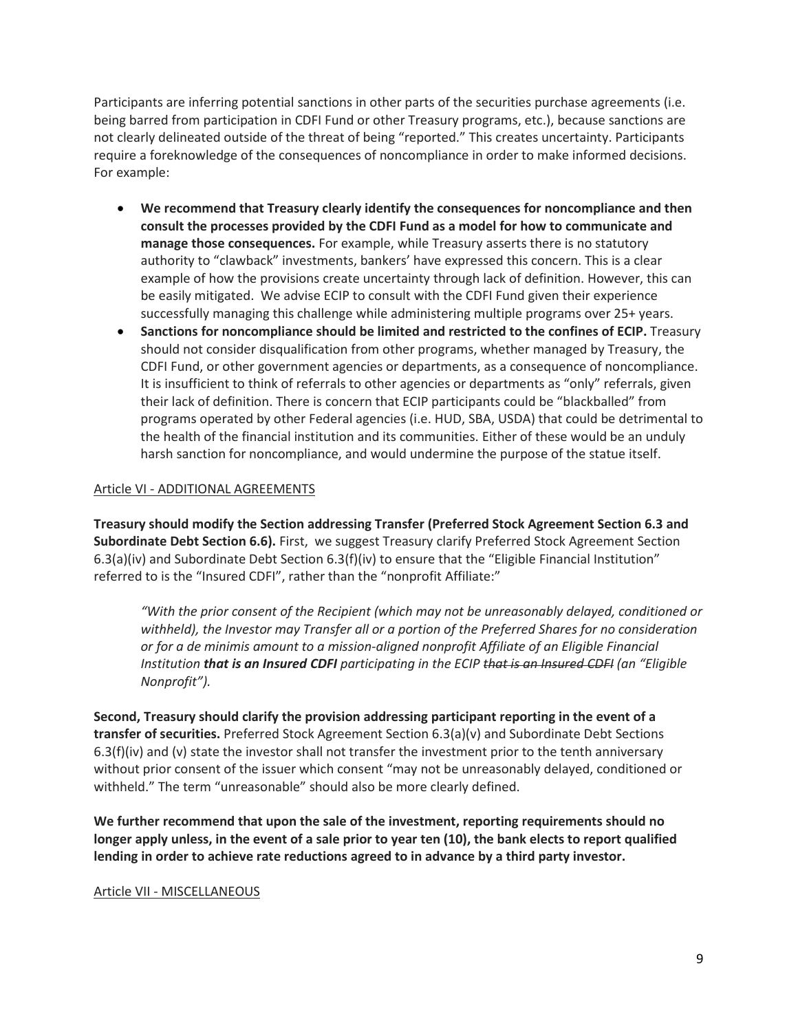Participants are inferring potential sanctions in other parts of the securities purchase agreements (i.e. being barred from participation in CDFI Fund or other Treasury programs, etc.), because sanctions are not clearly delineated outside of the threat of being "reported." This creates uncertainty. Participants require a foreknowledge of the consequences of noncompliance in order to make informed decisions. For example:

- **We recommend that Treasury clearly identify the consequences for noncompliance and then consult the processes provided by the CDFI Fund as a model for how to communicate and manage those consequences.** For example, while Treasury asserts there is no statutory authority to "clawback" investments, bankers' have expressed this concern. This is a clear example of how the provisions create uncertainty through lack of definition. However, this can be easily mitigated. We advise ECIP to consult with the CDFI Fund given their experience successfully managing this challenge while administering multiple programs over 25+ years.
- **Sanctions for noncompliance should be limited and restricted to the confines of ECIP.** Treasury should not consider disqualification from other programs, whether managed by Treasury, the CDFI Fund, or other government agencies or departments, as a consequence of noncompliance. It is insufficient to think of referrals to other agencies or departments as "only" referrals, given their lack of definition. There is concern that ECIP participants could be "blackballed" from programs operated by other Federal agencies (i.e. HUD, SBA, USDA) that could be detrimental to the health of the financial institution and its communities. Either of these would be an unduly harsh sanction for noncompliance, and would undermine the purpose of the statue itself.

## Article VI - ADDITIONAL AGREEMENTS

**Treasury should modify the Section addressing Transfer (Preferred Stock Agreement Section 6.3 and Subordinate Debt Section 6.6).** First, we suggest Treasury clarify Preferred Stock Agreement Section 6.3(a)(iv) and Subordinate Debt Section 6.3(f)(iv) to ensure that the "Eligible Financial Institution" referred to is the "Insured CDFI", rather than the "nonprofit Affiliate:"

*"With the prior consent of the Recipient (which may not be unreasonably delayed, conditioned or withheld), the Investor may Transfer all or a portion of the Preferred Shares for no consideration or for a de minimis amount to a mission-aligned nonprofit Affiliate of an Eligible Financial Institution that is an Insured CDFI participating in the ECIP that is an Insured CDFI (an "Eligible Nonprofit").*

**Second, Treasury should clarify the provision addressing participant reporting in the event of a transfer of securities.** Preferred Stock Agreement Section 6.3(a)(v) and Subordinate Debt Sections  $6.3(f)(iv)$  and (v) state the investor shall not transfer the investment prior to the tenth anniversary without prior consent of the issuer which consent "may not be unreasonably delayed, conditioned or withheld." The term "unreasonable" should also be more clearly defined.

**We further recommend that upon the sale of the investment, reporting requirements should no longer apply unless, in the event of a sale prior to year ten (10), the bank elects to report qualified lending in order to achieve rate reductions agreed to in advance by a third party investor.**

#### Article VII - MISCELLANEOUS